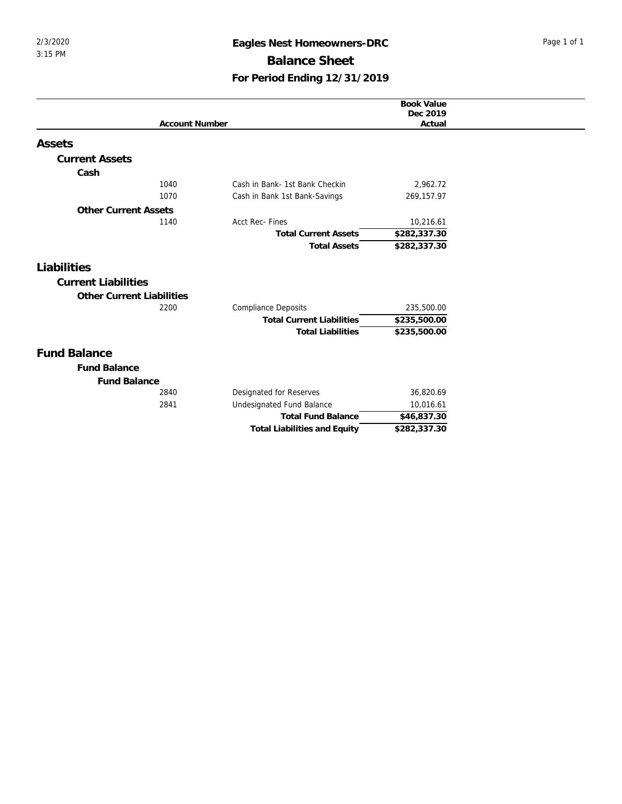## 2/3/2020 **Eagles Nest Homeowners-DRC** Page 1 of 1 **Balance Sheet For Period Ending 12/31/2019**

|                                  |                       |                                     | <b>Book Value</b>       |
|----------------------------------|-----------------------|-------------------------------------|-------------------------|
|                                  |                       |                                     | Dec 2019                |
|                                  | <b>Account Number</b> |                                     | Actual                  |
| Assets                           |                       |                                     |                         |
| <b>Current Assets</b>            |                       |                                     |                         |
| Cash                             |                       |                                     |                         |
|                                  | 1040                  | Cash in Bank- 1st Bank Checkin      | 2,962.72                |
|                                  | 1070                  | Cash in Bank 1st Bank-Savings       | 269,157.97              |
| <b>Other Current Assets</b>      |                       |                                     |                         |
|                                  | 1140                  | Acct Rec- Fines                     | 10,216.61               |
|                                  |                       | <b>Total Current Assets</b>         | \$282,337.30            |
|                                  |                       | <b>Total Assets</b>                 | \$282,337.30            |
|                                  |                       |                                     |                         |
| Liabilities                      |                       |                                     |                         |
| <b>Current Liabilities</b>       |                       |                                     |                         |
| <b>Other Current Liabilities</b> |                       |                                     |                         |
|                                  | 2200                  | <b>Compliance Deposits</b>          | 235,500.00              |
|                                  |                       | <b>Total Current Liabilities</b>    | \$235,500.00            |
|                                  |                       | <b>Total Liabilities</b>            | \$235,500.00            |
| <b>Fund Balance</b>              |                       |                                     |                         |
| <b>Fund Balance</b>              |                       |                                     |                         |
| <b>Fund Balance</b>              |                       |                                     |                         |
|                                  | 2840                  | Designated for Reserves             | 36,820.69               |
|                                  | 2841                  | Undesignated Fund Balance           | 10,016.61               |
|                                  |                       | <b>Total Fund Balance</b>           | $\overline{$46,837.30}$ |
|                                  |                       | <b>Total Liabilities and Equity</b> | \$282,337.30            |